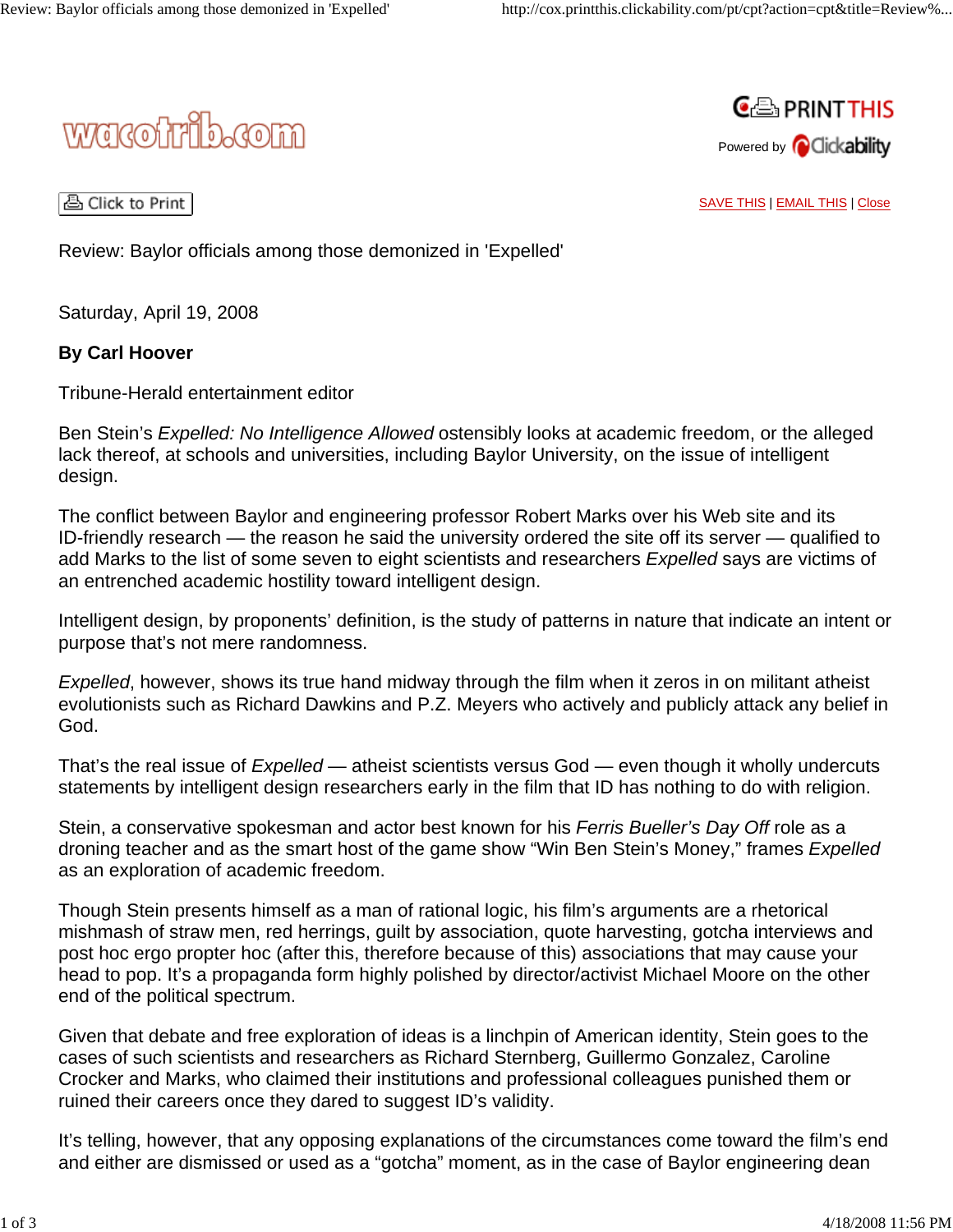



A Click to Print |

SAVE THIS | EMAIL THIS | Close

Review: Baylor officials among those demonized in 'Expelled'

Saturday, April 19, 2008

## **By Carl Hoover**

Tribune-Herald entertainment editor

Ben Stein's *Expelled: No Intelligence Allowed* ostensibly looks at academic freedom, or the alleged lack thereof, at schools and universities, including Baylor University, on the issue of intelligent design.

The conflict between Baylor and engineering professor Robert Marks over his Web site and its ID-friendly research — the reason he said the university ordered the site off its server — qualified to add Marks to the list of some seven to eight scientists and researchers *Expelled* says are victims of an entrenched academic hostility toward intelligent design.

Intelligent design, by proponents' definition, is the study of patterns in nature that indicate an intent or purpose that's not mere randomness.

*Expelled*, however, shows its true hand midway through the film when it zeros in on militant atheist evolutionists such as Richard Dawkins and P.Z. Meyers who actively and publicly attack any belief in God.

That's the real issue of *Expelled* — atheist scientists versus God — even though it wholly undercuts statements by intelligent design researchers early in the film that ID has nothing to do with religion.

Stein, a conservative spokesman and actor best known for his *Ferris Bueller's Day Off* role as a droning teacher and as the smart host of the game show "Win Ben Stein's Money," frames *Expelled* as an exploration of academic freedom.

Though Stein presents himself as a man of rational logic, his film's arguments are a rhetorical mishmash of straw men, red herrings, guilt by association, quote harvesting, gotcha interviews and post hoc ergo propter hoc (after this, therefore because of this) associations that may cause your head to pop. It's a propaganda form highly polished by director/activist Michael Moore on the other end of the political spectrum.

Given that debate and free exploration of ideas is a linchpin of American identity, Stein goes to the cases of such scientists and researchers as Richard Sternberg, Guillermo Gonzalez, Caroline Crocker and Marks, who claimed their institutions and professional colleagues punished them or ruined their careers once they dared to suggest ID's validity.

It's telling, however, that any opposing explanations of the circumstances come toward the film's end and either are dismissed or used as a "gotcha" moment, as in the case of Baylor engineering dean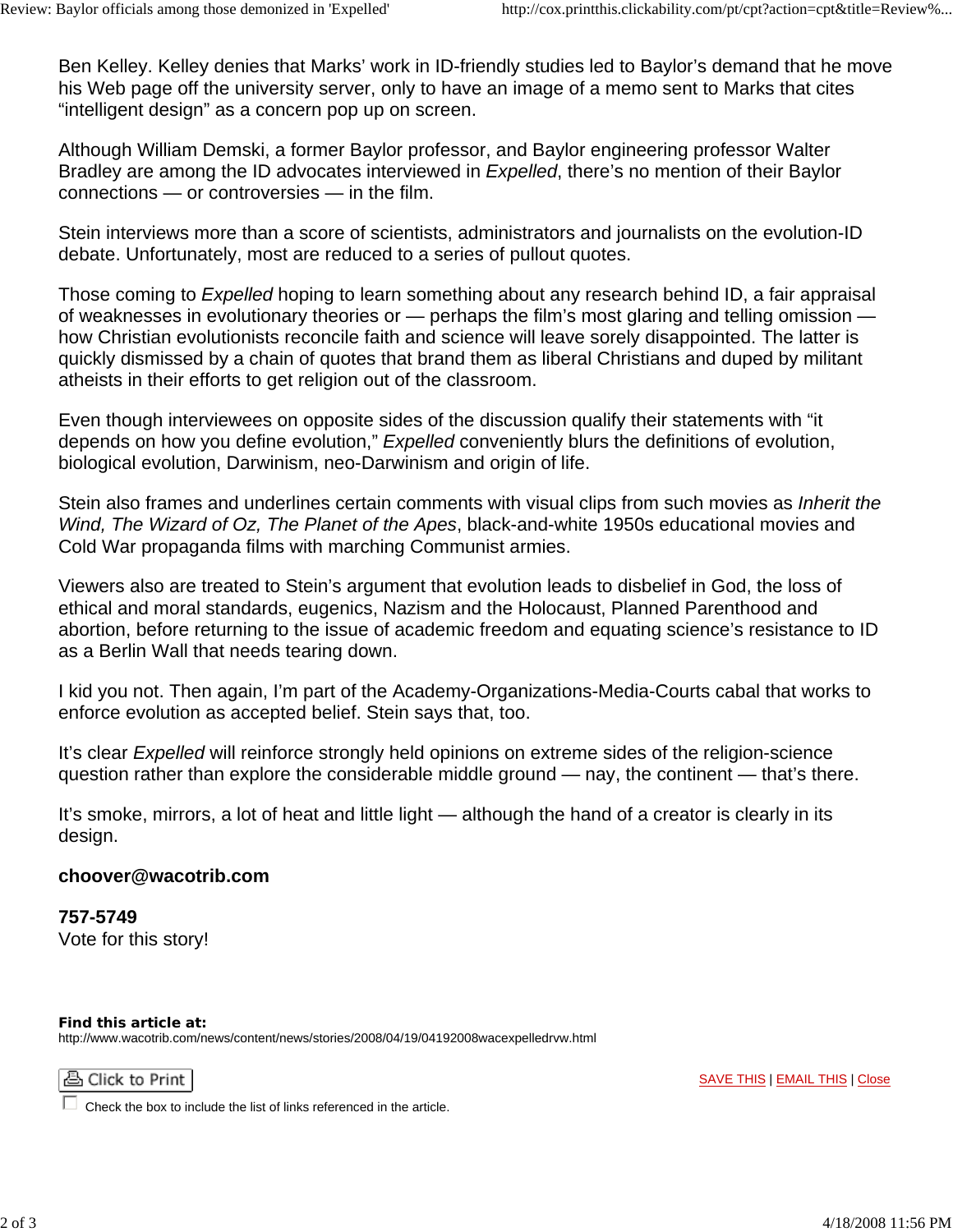Ben Kelley. Kelley denies that Marks' work in ID-friendly studies led to Baylor's demand that he move his Web page off the university server, only to have an image of a memo sent to Marks that cites "intelligent design" as a concern pop up on screen.

Although William Demski, a former Baylor professor, and Baylor engineering professor Walter Bradley are among the ID advocates interviewed in *Expelled*, there's no mention of their Baylor connections — or controversies — in the film.

Stein interviews more than a score of scientists, administrators and journalists on the evolution-ID debate. Unfortunately, most are reduced to a series of pullout quotes.

Those coming to *Expelled* hoping to learn something about any research behind ID, a fair appraisal of weaknesses in evolutionary theories or — perhaps the film's most glaring and telling omission how Christian evolutionists reconcile faith and science will leave sorely disappointed. The latter is quickly dismissed by a chain of quotes that brand them as liberal Christians and duped by militant atheists in their efforts to get religion out of the classroom.

Even though interviewees on opposite sides of the discussion qualify their statements with "it depends on how you define evolution," *Expelled* conveniently blurs the definitions of evolution, biological evolution, Darwinism, neo-Darwinism and origin of life.

Stein also frames and underlines certain comments with visual clips from such movies as *Inherit the Wind, The Wizard of Oz, The Planet of the Apes*, black-and-white 1950s educational movies and Cold War propaganda films with marching Communist armies.

Viewers also are treated to Stein's argument that evolution leads to disbelief in God, the loss of ethical and moral standards, eugenics, Nazism and the Holocaust, Planned Parenthood and abortion, before returning to the issue of academic freedom and equating science's resistance to ID as a Berlin Wall that needs tearing down.

I kid you not. Then again, I'm part of the Academy-Organizations-Media-Courts cabal that works to enforce evolution as accepted belief. Stein says that, too.

It's clear *Expelled* will reinforce strongly held opinions on extreme sides of the religion-science question rather than explore the considerable middle ground — nay, the continent — that's there.

It's smoke, mirrors, a lot of heat and little light — although the hand of a creator is clearly in its design.

## **choover@wacotrib.com**

**757-5749** Vote for this story!

**Find this article at:** http://www.wacotrib.com/news/content/news/stories/2008/04/19/04192008wacexpelledrvw.html

## 凸 Click to Print

Check the box to include the list of links referenced in the article.